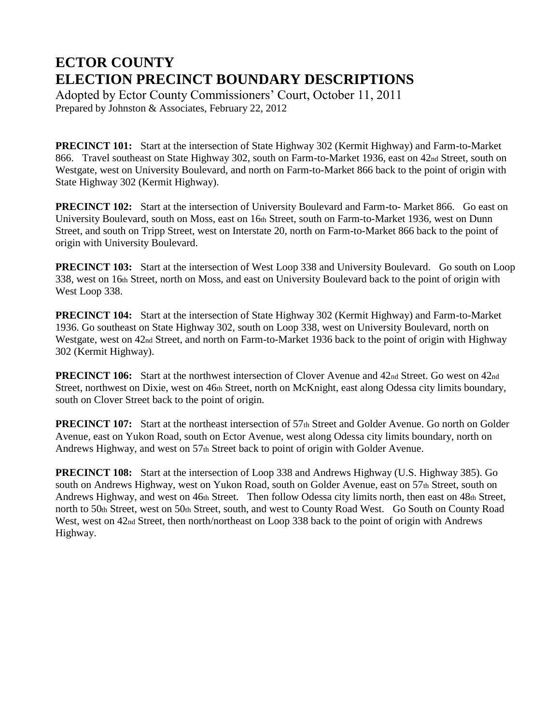## **ECTOR COUNTY ELECTION PRECINCT BOUNDARY DESCRIPTIONS**

Adopted by Ector County Commissioners' Court, October 11, 2011 Prepared by Johnston & Associates, February 22, 2012

**PRECINCT 101:** Start at the intersection of State Highway 302 (Kermit Highway) and Farm-to-Market 866. Travel southeast on State Highway 302, south on Farm-to-Market 1936, east on 42nd Street, south on Westgate, west on University Boulevard, and north on Farm-to-Market 866 back to the point of origin with State Highway 302 (Kermit Highway).

**PRECINCT 102:** Start at the intersection of University Boulevard and Farm-to- Market 866. Go east on University Boulevard, south on Moss, east on 16th Street, south on Farm-to-Market 1936, west on Dunn Street, and south on Tripp Street, west on Interstate 20, north on Farm-to-Market 866 back to the point of origin with University Boulevard.

**PRECINCT 103:** Start at the intersection of West Loop 338 and University Boulevard. Go south on Loop 338, west on 16th Street, north on Moss, and east on University Boulevard back to the point of origin with West Loop 338.

**PRECINCT 104:** Start at the intersection of State Highway 302 (Kermit Highway) and Farm-to-Market 1936. Go southeast on State Highway 302, south on Loop 338, west on University Boulevard, north on Westgate, west on 42nd Street, and north on Farm-to-Market 1936 back to the point of origin with Highway 302 (Kermit Highway).

**PRECINCT 106:** Start at the northwest intersection of Clover Avenue and 42nd Street. Go west on 42nd Street, northwest on Dixie, west on 46th Street, north on McKnight, east along Odessa city limits boundary, south on Clover Street back to the point of origin.

**PRECINCT 107:** Start at the northeast intersection of 57th Street and Golder Avenue. Go north on Golder Avenue, east on Yukon Road, south on Ector Avenue, west along Odessa city limits boundary, north on Andrews Highway, and west on 57th Street back to point of origin with Golder Avenue.

**PRECINCT 108:** Start at the intersection of Loop 338 and Andrews Highway (U.S. Highway 385). Go south on Andrews Highway, west on Yukon Road, south on Golder Avenue, east on 57th Street, south on Andrews Highway, and west on 46th Street. Then follow Odessa city limits north, then east on 48th Street, north to 50th Street, west on 50th Street, south, and west to County Road West. Go South on County Road West, west on 42<sub>nd</sub> Street, then north/northeast on Loop 338 back to the point of origin with Andrews Highway.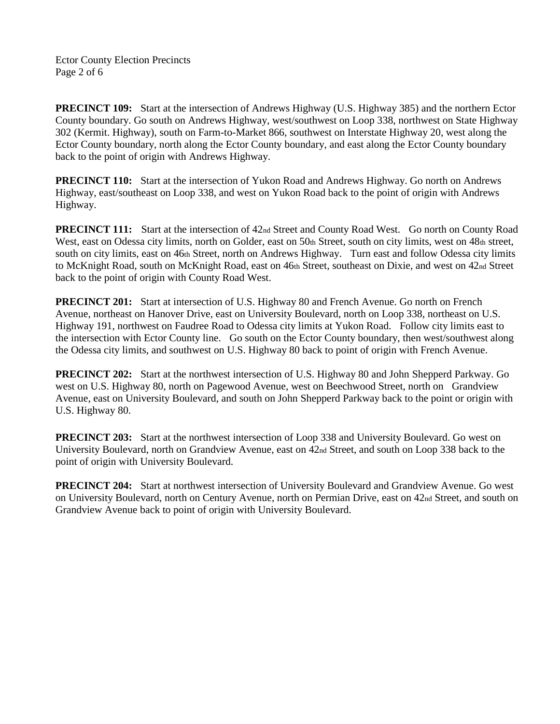Ector County Election Precincts Page 2 of 6

**PRECINCT 109:** Start at the intersection of Andrews Highway (U.S. Highway 385) and the northern Ector County boundary. Go south on Andrews Highway, west/southwest on Loop 338, northwest on State Highway 302 (Kermit. Highway), south on Farm-to-Market 866, southwest on Interstate Highway 20, west along the Ector County boundary, north along the Ector County boundary, and east along the Ector County boundary back to the point of origin with Andrews Highway.

**PRECINCT 110:** Start at the intersection of Yukon Road and Andrews Highway. Go north on Andrews Highway, east/southeast on Loop 338, and west on Yukon Road back to the point of origin with Andrews Highway.

**PRECINCT 111:** Start at the intersection of 42nd Street and County Road West. Go north on County Road West, east on Odessa city limits, north on Golder, east on 50th Street, south on city limits, west on 48th street, south on city limits, east on 46th Street, north on Andrews Highway. Turn east and follow Odessa city limits to McKnight Road, south on McKnight Road, east on 46th Street, southeast on Dixie, and west on 42nd Street back to the point of origin with County Road West.

**PRECINCT 201:** Start at intersection of U.S. Highway 80 and French Avenue. Go north on French Avenue, northeast on Hanover Drive, east on University Boulevard, north on Loop 338, northeast on U.S. Highway 191, northwest on Faudree Road to Odessa city limits at Yukon Road. Follow city limits east to the intersection with Ector County line. Go south on the Ector County boundary, then west/southwest along the Odessa city limits, and southwest on U.S. Highway 80 back to point of origin with French Avenue.

**PRECINCT 202:** Start at the northwest intersection of U.S. Highway 80 and John Shepperd Parkway. Go west on U.S. Highway 80, north on Pagewood Avenue, west on Beechwood Street, north on Grandview Avenue, east on University Boulevard, and south on John Shepperd Parkway back to the point or origin with U.S. Highway 80.

**PRECINCT 203:** Start at the northwest intersection of Loop 338 and University Boulevard. Go west on University Boulevard, north on Grandview Avenue, east on 42nd Street, and south on Loop 338 back to the point of origin with University Boulevard.

**PRECINCT 204:** Start at northwest intersection of University Boulevard and Grandview Avenue. Go west on University Boulevard, north on Century Avenue, north on Permian Drive, east on 42nd Street, and south on Grandview Avenue back to point of origin with University Boulevard.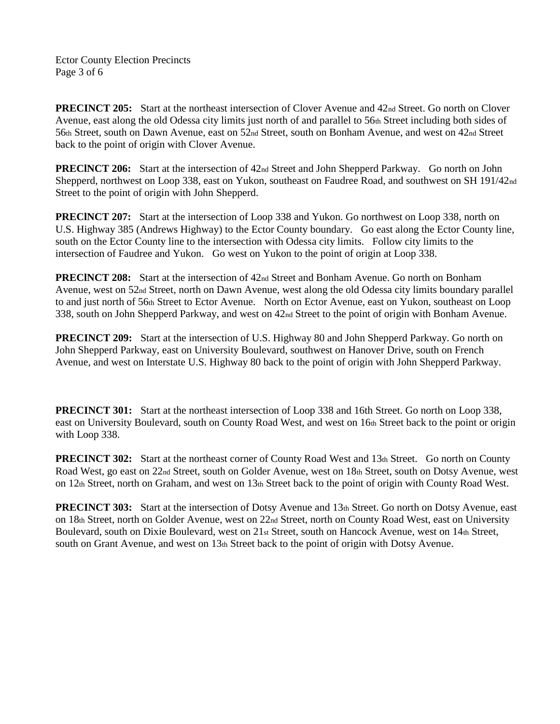Ector County Election Precincts Page 3 of 6

**PRECINCT 205:** Start at the northeast intersection of Clover Avenue and 42nd Street. Go north on Clover Avenue, east along the old Odessa city limits just north of and parallel to 56th Street including both sides of 56th Street, south on Dawn Avenue, east on 52nd Street, south on Bonham Avenue, and west on 42nd Street back to the point of origin with Clover Avenue.

**PRECINCT 206:** Start at the intersection of 42<sub>nd</sub> Street and John Shepperd Parkway. Go north on John Shepperd, northwest on Loop 338, east on Yukon, southeast on Faudree Road, and southwest on SH 191/42nd Street to the point of origin with John Shepperd.

**PRECINCT 207:** Start at the intersection of Loop 338 and Yukon. Go northwest on Loop 338, north on U.S. Highway 385 (Andrews Highway) to the Ector County boundary. Go east along the Ector County line, south on the Ector County line to the intersection with Odessa city limits. Follow city limits to the intersection of Faudree and Yukon. Go west on Yukon to the point of origin at Loop 338.

**PREClNCT 208:** Start at the intersection of 42nd Street and Bonham Avenue. Go north on Bonham Avenue, west on 52nd Street, north on Dawn Avenue, west along the old Odessa city limits boundary parallel to and just north of 56th Street to Ector Avenue. North on Ector Avenue, east on Yukon, southeast on Loop 338, south on John Shepperd Parkway, and west on 42nd Street to the point of origin with Bonham Avenue.

**PRECINCT 209:** Start at the intersection of U.S. Highway 80 and John Shepperd Parkway. Go north on John Shepperd Parkway, east on University Boulevard, southwest on Hanover Drive, south on French Avenue, and west on Interstate U.S. Highway 80 back to the point of origin with John Shepperd Parkway.

**PRECINCT 301:** Start at the northeast intersection of Loop 338 and 16th Street. Go north on Loop 338, east on University Boulevard, south on County Road West, and west on 16th Street back to the point or origin with Loop 338.

**PRECINCT 302:** Start at the northeast corner of County Road West and 13th Street. Go north on County Road West, go east on 22nd Street, south on Golder Avenue, west on 18th Street, south on Dotsy Avenue, west on 12th Street, north on Graham, and west on 13th Street back to the point of origin with County Road West.

**PRECINCT 303:** Start at the intersection of Dotsy Avenue and 13th Street. Go north on Dotsy Avenue, east on 18th Street, north on Golder Avenue, west on 22nd Street, north on County Road West, east on University Boulevard, south on Dixie Boulevard, west on 21st Street, south on Hancock Avenue, west on 14th Street, south on Grant Avenue, and west on 13th Street back to the point of origin with Dotsy Avenue.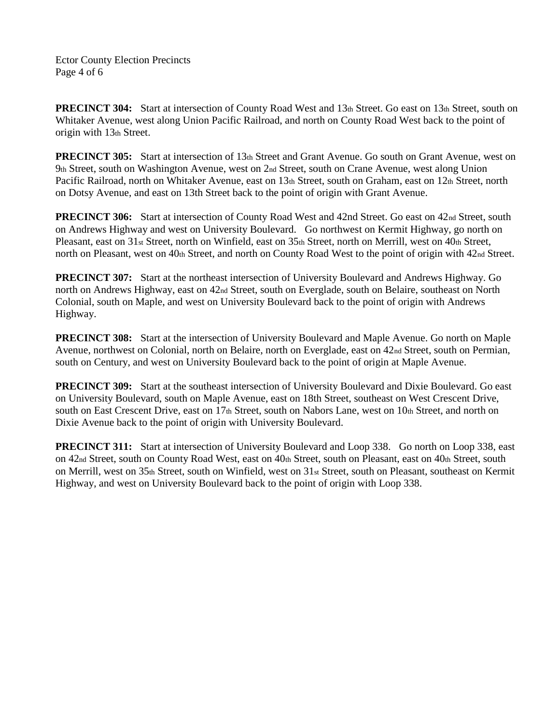Ector County Election Precincts Page 4 of 6

**PRECINCT 304:** Start at intersection of County Road West and 13th Street. Go east on 13th Street, south on Whitaker Avenue, west along Union Pacific Railroad, and north on County Road West back to the point of origin with 13th Street.

**PRECINCT 305:** Start at intersection of 13th Street and Grant Avenue. Go south on Grant Avenue, west on 9th Street, south on Washington Avenue, west on 2nd Street, south on Crane Avenue, west along Union Pacific Railroad, north on Whitaker Avenue, east on 13th Street, south on Graham, east on 12th Street, north on Dotsy Avenue, and east on 13th Street back to the point of origin with Grant Avenue.

**PRECINCT 306:** Start at intersection of County Road West and 42nd Street. Go east on 42nd Street, south on Andrews Highway and west on University Boulevard. Go northwest on Kermit Highway, go north on Pleasant, east on 31st Street, north on Winfield, east on 35th Street, north on Merrill, west on 40th Street, north on Pleasant, west on 40th Street, and north on County Road West to the point of origin with 42<sup>nd</sup> Street.

**PRECINCT 307:** Start at the northeast intersection of University Boulevard and Andrews Highway. Go north on Andrews Highway, east on 42nd Street, south on Everglade, south on Belaire, southeast on North Colonial, south on Maple, and west on University Boulevard back to the point of origin with Andrews Highway.

**PRECINCT 308:** Start at the intersection of University Boulevard and Maple Avenue. Go north on Maple Avenue, northwest on Colonial, north on Belaire, north on Everglade, east on 42<sub>nd</sub> Street, south on Permian, south on Century, and west on University Boulevard back to the point of origin at Maple Avenue.

**PRECINCT 309:** Start at the southeast intersection of University Boulevard and Dixie Boulevard. Go east on University Boulevard, south on Maple Avenue, east on 18th Street, southeast on West Crescent Drive, south on East Crescent Drive, east on 17th Street, south on Nabors Lane, west on 10th Street, and north on Dixie Avenue back to the point of origin with University Boulevard.

**PRECINCT 311:** Start at intersection of University Boulevard and Loop 338. Go north on Loop 338, east on 42nd Street, south on County Road West, east on 40th Street, south on Pleasant, east on 40th Street, south on Merrill, west on 35th Street, south on Winfield, west on 31st Street, south on Pleasant, southeast on Kermit Highway, and west on University Boulevard back to the point of origin with Loop 338.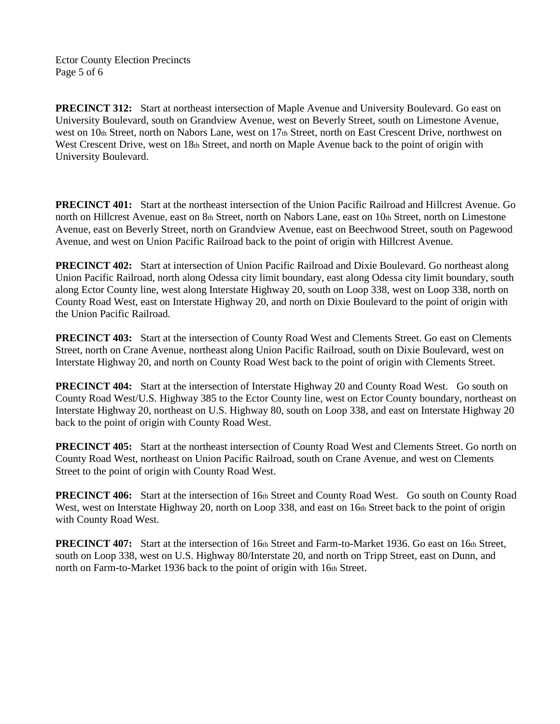Ector County Election Precincts Page 5 of 6

**PRECINCT 312:** Start at northeast intersection of Maple Avenue and University Boulevard. Go east on University Boulevard, south on Grandview Avenue, west on Beverly Street, south on Limestone Avenue, west on 10th Street, north on Nabors Lane, west on 17th Street, north on East Crescent Drive, northwest on West Crescent Drive, west on 18th Street, and north on Maple Avenue back to the point of origin with University Boulevard.

**PRECINCT 401:** Start at the northeast intersection of the Union Pacific Railroad and Hillcrest Avenue. Go north on Hillcrest Avenue, east on 8th Street, north on Nabors Lane, east on 10th Street, north on Limestone Avenue, east on Beverly Street, north on Grandview Avenue, east on Beechwood Street, south on Pagewood Avenue, and west on Union Pacific Railroad back to the point of origin with Hillcrest Avenue.

**PRECINCT 402:** Start at intersection of Union Pacific Railroad and Dixie Boulevard. Go northeast along Union Pacific Railroad, north along Odessa city limit boundary, east along Odessa city limit boundary, south along Ector County line, west along Interstate Highway 20, south on Loop 338, west on Loop 338, north on County Road West, east on Interstate Highway 20, and north on Dixie Boulevard to the point of origin with the Union Pacific Railroad.

**PRECINCT 403:** Start at the intersection of County Road West and Clements Street. Go east on Clements Street, north on Crane Avenue, northeast along Union Pacific Railroad, south on Dixie Boulevard, west on Interstate Highway 20, and north on County Road West back to the point of origin with Clements Street.

**PRECINCT 404:** Start at the intersection of Interstate Highway 20 and County Road West. Go south on County Road West/U.S. Highway 385 to the Ector County line, west on Ector County boundary, northeast on Interstate Highway 20, northeast on U.S. Highway 80, south on Loop 338, and east on Interstate Highway 20 back to the point of origin with County Road West.

**PRECINCT 405:** Start at the northeast intersection of County Road West and Clements Street. Go north on County Road West, northeast on Union Pacific Railroad, south on Crane Avenue, and west on Clements Street to the point of origin with County Road West.

**PRECINCT 406:** Start at the intersection of 16th Street and County Road West. Go south on County Road West, west on Interstate Highway 20, north on Loop 338, and east on 16th Street back to the point of origin with County Road West.

**PRECINCT 407:** Start at the intersection of 16th Street and Farm-to-Market 1936. Go east on 16th Street, south on Loop 338, west on U.S. Highway 80/Interstate 20, and north on Tripp Street, east on Dunn, and north on Farm-to-Market 1936 back to the point of origin with 16th Street.